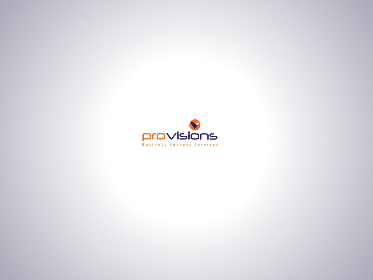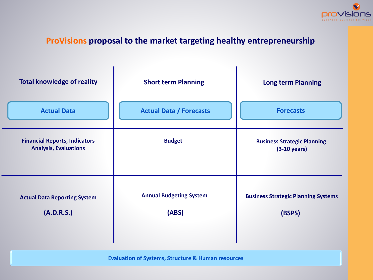

#### **ProVisions proposal to the market targeting healthy entrepreneurship**

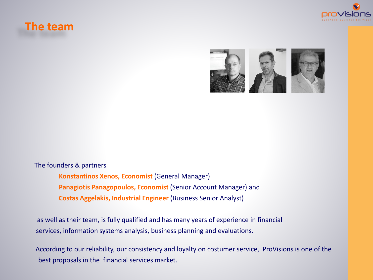### **The team**







**Konstantinos Xenos, Economist** (General Manager) **Panagiotis Panagopoulos, Economist** (Senior Account Manager) and **Costas Aggelakis, Industrial Engineer** (Business Senior Analyst)

as well as their team, is fully qualified and has many years of experience in financial services, information systems analysis, business planning and evaluations.

According to our reliability, our consistency and loyalty on costumer service, ProVisions is one of the best proposals in the financial services market.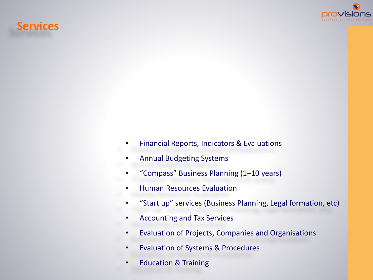### **Services**



- Financial Reports, Indicators & Evaluations
- Annual Budgeting Systems
- "Compass" Business Planning (1+10 years)
- Human Resources Evaluation
- "Start up" services (Business Planning, Legal formation, etc)
- Accounting and Tax Services
- Evaluation of Projects, Companies and Organisations
- Evaluation of Systems & Procedures
- Education & Training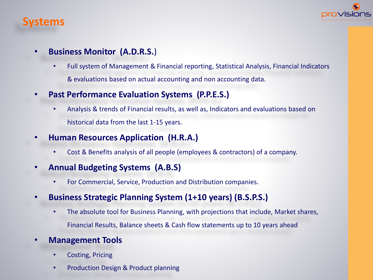### **Systems**



### • **Business Monitor (A.D.R.S.**)

- Full system of Management & Financial reporting, Statistical Analysis, Financial Indicators & evaluations based on actual accounting and non accounting data.
- **Past Performance Evaluation Systems (P.P.E.S.)**
	- Analysis & trends of Financial results, as well as, Indicators and evaluations based on historical data from the last 1-15 years.
- **Human Resources Application (H.R.A.)**
	- Cost & Benefits analysis of all people (employees & contractors) of a company.
- **Annual Budgeting Systems (A.B.S)**
	- For Commercial, Service, Production and Distribution companies.
- **Business Strategic Planning System (1+10 years) (B.S.P.S.)**
	- The absolute tool for Business Planning, with projections that include, Market shares, Financial Results, Balance sheets & Cash flow statements up to 10 years ahead
- **Management Tools**
	- Costing, Pricing
	- Production Design & Product planning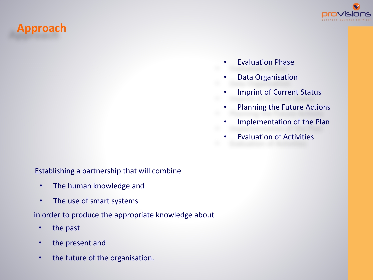# **Approach**



- Evaluation Phase
- Data Organisation
- Imprint of Current Status
- Planning the Future Actions
- Implementation of the Plan
- Evaluation of Activities

Establishing a partnership that will combine

- The human knowledge and
- The use of smart systems

in order to produce the appropriate knowledge about

- the past
- the present and
- the future of the organisation.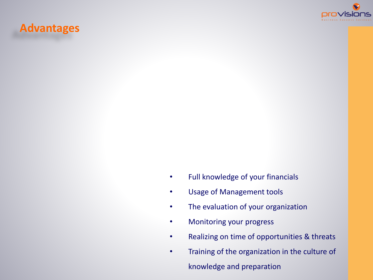

## **Advantages**

- Full knowledge of your financials
- Usage of Management tools
- The evaluation of your organization
- Monitoring your progress
- Realizing on time of opportunities & threats
- Training of the organization in the culture of knowledge and preparation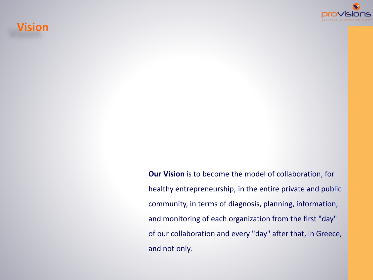## **Vision**



**Our Vision** is to become the model of collaboration, for healthy entrepreneurship, in the entire private and public community, in terms of diagnosis, planning, information, and monitoring of each organization from the first "day" of our collaboration and every "day" after that, in Greece, and not only.